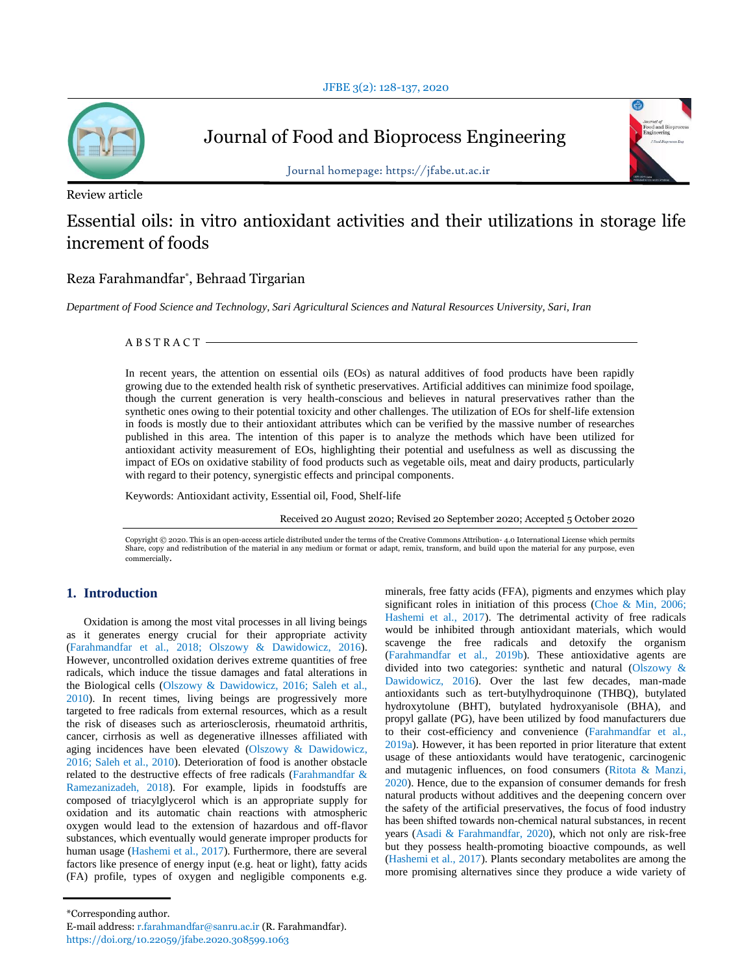

Journal of Food and Bioprocess Engineering



Journal homepage: https://jfabe.ut.ac.ir

Review article

# Essential oils: in vitro antioxidant activities and their utilizations in storage life increment of foods

# Reza Farahmandfar\* , Behraad Tirgarian

*Department of Food Science and Technology, Sari Agricultural Sciences and Natural Resources University, Sari, Iran*

A B S T R A C T

In recent years, the attention on essential oils (EOs) as natural additives of food products have been rapidly growing due to the extended health risk of synthetic preservatives. Artificial additives can minimize food spoilage, though the current generation is very health-conscious and believes in natural preservatives rather than the synthetic ones owing to their potential toxicity and other challenges. The utilization of EOs for shelf-life extension in foods is mostly due to their antioxidant attributes which can be verified by the massive number of researches published in this area. The intention of this paper is to analyze the methods which have been utilized for antioxidant activity measurement of EOs, highlighting their potential and usefulness as well as discussing the impact of EOs on oxidative stability of food products such as vegetable oils, meat and dairy products, particularly with regard to their potency, synergistic effects and principal components.

Keywords: Antioxidant activity, Essential oil, Food, Shelf-life

Received 20 August 2020; Revised 20 September 2020; Accepted 5 October 2020

Copyright © 2020. This is an open-access article distributed under the terms of the Creative Commons Attribution- 4.0 International License which permits Share, copy and redistribution of the material in any medium or format or adapt, remix, transform, and build upon the material for any purpose, even commercially.

# **1. Introduction**

Oxidation is among the most vital processes in all living beings as it generates energy crucial for their appropriate activity (Farahmandfar et al., 2018; Olszowy & Dawidowicz, 2016). However, uncontrolled oxidation derives extreme quantities of free radicals, which induce the tissue damages and fatal alterations in the Biological cells (Olszowy & Dawidowicz, 2016; Saleh et al., 2010). In recent times, living beings are progressively more targeted to free radicals from external resources, which as a result the risk of diseases such as arteriosclerosis, rheumatoid arthritis, cancer, cirrhosis as well as degenerative illnesses affiliated with aging incidences have been elevated (Olszowy & Dawidowicz, 2016; Saleh et al., 2010). Deterioration of food is another obstacle related to the destructive effects of free radicals (Farahmandfar & Ramezanizadeh, 2018). For example, lipids in foodstuffs are composed of triacylglycerol which is an appropriate supply for oxidation and its automatic chain reactions with atmospheric oxygen would lead to the extension of hazardous and off-flavor substances, which eventually would generate improper products for human usage (Hashemi et al., 2017). Furthermore, there are several factors like presence of energy input (e.g. heat or light), fatty acids (FA) profile, types of oxygen and negligible components e.g.

minerals, free fatty acids (FFA), pigments and enzymes which play significant roles in initiation of this process (Choe & Min, 2006; Hashemi et al., 2017). The detrimental activity of free radicals would be inhibited through antioxidant materials, which would scavenge the free radicals and detoxify the organism (Farahmandfar et al., 2019b). These antioxidative agents are divided into two categories: synthetic and natural (Olszowy & Dawidowicz, 2016). Over the last few decades, man-made antioxidants such as tert-butylhydroquinone (THBQ), butylated hydroxytolune (BHT), butylated hydroxyanisole (BHA), and propyl gallate (PG), have been utilized by food manufacturers due to their cost-efficiency and convenience (Farahmandfar et al., 2019a). However, it has been reported in prior literature that extent usage of these antioxidants would have teratogenic, carcinogenic and mutagenic influences, on food consumers (Ritota & Manzi, 2020). Hence, due to the expansion of consumer demands for fresh natural products without additives and the deepening concern over the safety of the artificial preservatives, the focus of food industry has been shifted towards non-chemical natural substances, in recent years (Asadi & Farahmandfar, 2020), which not only are risk-free but they possess health-promoting bioactive compounds, as well (Hashemi et al., 2017). Plants secondary metabolites are among the more promising alternatives since they produce a wide variety of

<sup>\*</sup>Corresponding author.

E-mail address: r.farahmandfar@sanru.ac.ir (R. Farahmandfar).

https://doi.org/10.22059/jfabe.2020.308599.1063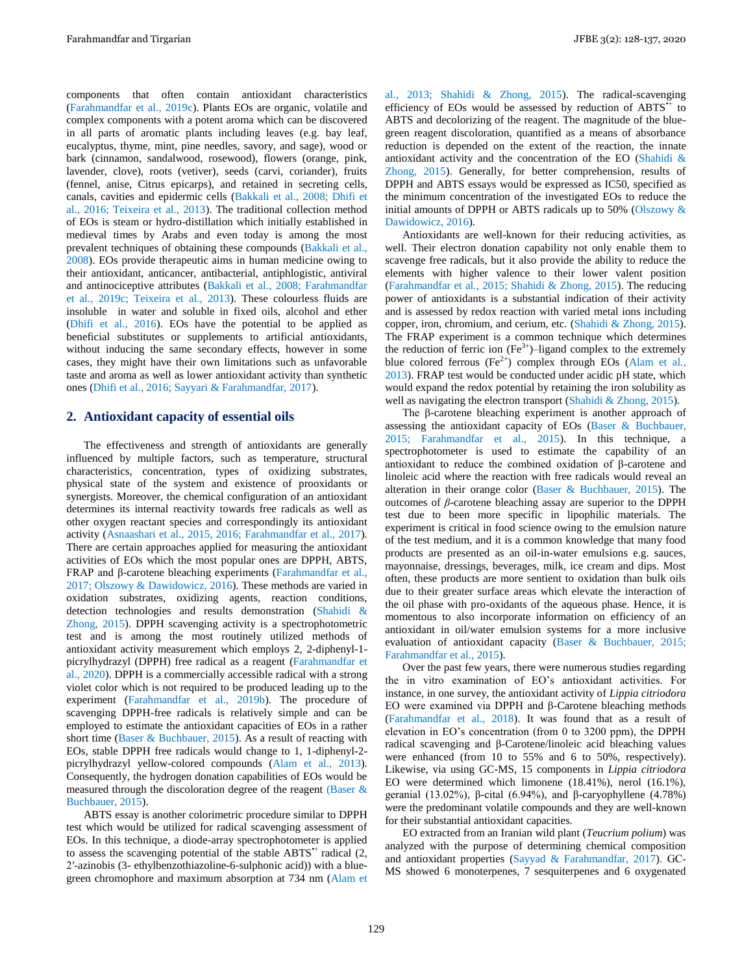components that often contain antioxidant characteristics (Farahmandfar et al., 2019c). Plants EOs are organic, volatile and complex components with a potent aroma which can be discovered in all parts of aromatic plants including leaves (e.g. bay leaf, eucalyptus, thyme, mint, pine needles, savory, and sage), wood or bark (cinnamon, sandalwood, rosewood), flowers (orange, pink, lavender, clove), roots (vetiver), seeds (carvi, coriander), fruits (fennel, anise, Citrus epicarps), and retained in secreting cells, canals, cavities and epidermic cells (Bakkali et al., 2008; Dhifi et al., 2016; Teixeira et al., 2013). The traditional collection method of EOs is steam or hydro-distillation which initially established in medieval times by Arabs and even today is among the most prevalent techniques of obtaining these compounds (Bakkali et al., 2008). EOs provide therapeutic aims in human medicine owing to their antioxidant, anticancer, antibacterial, antiphlogistic, antiviral and antinociceptive attributes (Bakkali et al., 2008; Farahmandfar et al., 2019c; Teixeira et al., 2013). These colourless fluids are insoluble in water and soluble in fixed oils, alcohol and ether (Dhifi et al., 2016). EOs have the potential to be applied as beneficial substitutes or supplements to artificial antioxidants, without inducing the same secondary effects, however in some cases, they might have their own limitations such as unfavorable taste and aroma as well as lower antioxidant activity than synthetic ones (Dhifi et al., 2016; Sayyari & Farahmandfar, 2017).

# **2. Antioxidant capacity of essential oils**

The effectiveness and strength of antioxidants are generally influenced by multiple factors, such as temperature, structural characteristics, concentration, types of oxidizing substrates, physical state of the system and existence of prooxidants or synergists. Moreover, the chemical configuration of an antioxidant determines its internal reactivity towards free radicals as well as other oxygen reactant species and correspondingly its antioxidant activity (Asnaashari et al., 2015, 2016; Farahmandfar et al., 2017). There are certain approaches applied for measuring the antioxidant activities of EOs which the most popular ones are DPPH, ABTS, FRAP and β-carotene bleaching experiments (Farahmandfar et al., 2017; Olszowy & Dawidowicz, 2016). These methods are varied in oxidation substrates, oxidizing agents, reaction conditions, detection technologies and results demonstration (Shahidi & Zhong, 2015). DPPH scavenging activity is a spectrophotometric test and is among the most routinely utilized methods of antioxidant activity measurement which employs 2, 2-diphenyl-1 picrylhydrazyl (DPPH) free radical as a reagent (Farahmandfar et al., 2020). DPPH is a commercially accessible radical with a strong violet color which is not required to be produced leading up to the experiment (Farahmandfar et al., 2019b). The procedure of scavenging DPPH-free radicals is relatively simple and can be employed to estimate the antioxidant capacities of EOs in a rather short time (Baser & Buchbauer, 2015). As a result of reacting with EOs, stable DPPH free radicals would change to 1, 1-diphenyl-2 picrylhydrazyl yellow-colored compounds (Alam et al., 2013). Consequently, the hydrogen donation capabilities of EOs would be measured through the discoloration degree of the reagent (Baser & Buchbauer, 2015).

ABTS essay is another colorimetric procedure similar to DPPH test which would be utilized for radical scavenging assessment of EOs. In this technique, a diode-array spectrophotometer is applied to assess the scavenging potential of the stable  $ABTS^+$  radical  $(2, 1)$ 2′-azinobis (3- ethylbenzothiazoline-6-sulphonic acid)) with a bluegreen chromophore and maximum absorption at 734 nm (Alam et al., 2013; Shahidi & Zhong, 2015). The radical-scavenging efficiency of EOs would be assessed by reduction of  $ABTS^+$  to ABTS and decolorizing of the reagent. The magnitude of the bluegreen reagent discoloration, quantified as a means of absorbance reduction is depended on the extent of the reaction, the innate antioxidant activity and the concentration of the EO (Shahidi & Zhong, 2015). Generally, for better comprehension, results of DPPH and ABTS essays would be expressed as IC50, specified as the minimum concentration of the investigated EOs to reduce the initial amounts of DPPH or ABTS radicals up to 50% (Olszowy & Dawidowicz, 2016).

Antioxidants are well-known for their reducing activities, as well. Their electron donation capability not only enable them to scavenge free radicals, but it also provide the ability to reduce the elements with higher valence to their lower valent position (Farahmandfar et al., 2015; Shahidi & Zhong, 2015). The reducing power of antioxidants is a substantial indication of their activity and is assessed by redox reaction with varied metal ions including copper, iron, chromium, and cerium, etc. (Shahidi & Zhong, 2015). The FRAP experiment is a common technique which determines the reduction of ferric ion  $(Fe^{3+})$ –ligand complex to the extremely blue colored ferrous ( $Fe^{2+}$ ) complex through EOs (Alam et al., 2013). FRAP test would be conducted under acidic pH state, which would expand the redox potential by retaining the iron solubility as well as navigating the electron transport (Shahidi & Zhong, 2015).

The β-carotene bleaching experiment is another approach of assessing the antioxidant capacity of EOs (Baser & Buchbauer, 2015; Farahmandfar et al., 2015). In this technique, a spectrophotometer is used to estimate the capability of an antioxidant to reduce the combined oxidation of β-carotene and linoleic acid where the reaction with free radicals would reveal an alteration in their orange color (Baser & Buchbauer, 2015). The outcomes of *β*-carotene bleaching assay are superior to the DPPH test due to been more specific in lipophilic materials. The experiment is critical in food science owing to the emulsion nature of the test medium, and it is a common knowledge that many food products are presented as an oil-in-water emulsions e.g. sauces, mayonnaise, dressings, beverages, milk, ice cream and dips. Most often, these products are more sentient to oxidation than bulk oils due to their greater surface areas which elevate the interaction of the oil phase with pro-oxidants of the aqueous phase. Hence, it is momentous to also incorporate information on efficiency of an antioxidant in oil/water emulsion systems for a more inclusive evaluation of antioxidant capacity (Baser & Buchbauer, 2015; Farahmandfar et al., 2015).

Over the past few years, there were numerous studies regarding the in vitro examination of EO's antioxidant activities. For instance, in one survey, the antioxidant activity of *Lippia citriodora* EO were examined via DPPH and β-Carotene bleaching methods (Farahmandfar et al., 2018). It was found that as a result of elevation in EO's concentration (from 0 to 3200 ppm), the DPPH radical scavenging and β-Carotene/linoleic acid bleaching values were enhanced (from 10 to 55% and 6 to 50%, respectively). Likewise, via using GC-MS, 15 components in *Lippia citriodora* EO were determined which limonene (18.41%), nerol (16.1%), geranial (13.02%), β-cital (6.94%), and β-caryophyllene (4.78%) were the predominant volatile compounds and they are well-known for their substantial antioxidant capacities.

EO extracted from an Iranian wild plant (*Teucrium polium*) was analyzed with the purpose of determining chemical composition and antioxidant properties (Sayyad & Farahmandfar, 2017). GC‐ MS showed 6 monoterpenes, 7 sesquiterpenes and 6 oxygenated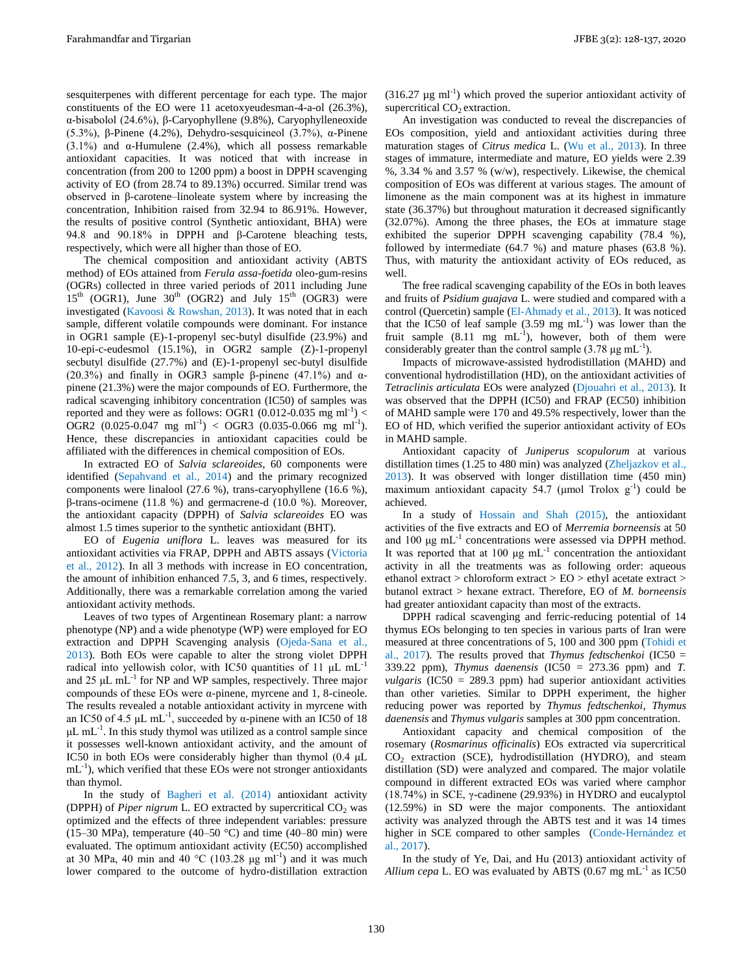sesquiterpenes with different percentage for each type. The major constituents of the EO were 11 acetoxyeudesman-4-a-ol (26.3%), α-bisabolol (24.6%), β-Caryophyllene (9.8%), Caryophylleneoxide (5.3%), β-Pinene (4.2%), Dehydro-sesquicineol (3.7%), α-Pinene (3.1%) and  $\alpha$ -Humulene (2.4%), which all possess remarkable antioxidant capacities. It was noticed that with increase in concentration (from 200 to 1200 ppm) a boost in DPPH scavenging activity of EO (from 28.74 to 89.13%) occurred. Similar trend was observed in β-carotene–linoleate system where by increasing the concentration, Inhibition raised from 32.94 to 86.91%. However, the results of positive control (Synthetic antioxidant, BHA) were 94.8 and 90.18% in DPPH and β-Carotene bleaching tests, respectively, which were all higher than those of EO.

The chemical composition and antioxidant activity (ABTS method) of EOs attained from *Ferula assa-foetida* oleo-gum-resins (OGRs) collected in three varied periods of 2011 including June  $15<sup>th</sup>$  (OGR1), June 30<sup>th</sup> (OGR2) and July 15<sup>th</sup> (OGR3) were investigated (Kavoosi & Rowshan, 2013). It was noted that in each sample, different volatile compounds were dominant. For instance in OGR1 sample (E)-1-propenyl sec-butyl disulfide (23.9%) and 10-epi-c-eudesmol (15.1%), in OGR2 sample (Z)-1-propenyl secbutyl disulfide (27.7%) and (E)-1-propenyl sec-butyl disulfide (20.3%) and finally in OGR3 sample β-pinene (47.1%) and αpinene (21.3%) were the major compounds of EO. Furthermore, the radical scavenging inhibitory concentration (IC50) of samples was reported and they were as follows: OGR1  $(0.012{\text -}0.035 \text{ mg ml}^{-1})$  < OGR2  $(0.025-0.047 \text{ mg ml}^{-1}) <$  OGR3  $(0.035-0.066 \text{ mg ml}^{-1})$ . Hence, these discrepancies in antioxidant capacities could be affiliated with the differences in chemical composition of EOs.

In extracted EO of *Salvia sclareoides*, 60 components were identified (Sepahvand et al., 2014) and the primary recognized components were linalool (27.6 %), trans-caryophyllene (16.6 %), β-trans-ocimene (11.8 %) and germacrene-d (10.0 %). Moreover, the antioxidant capacity (DPPH) of *Salvia sclareoides* EO was almost 1.5 times superior to the synthetic antioxidant (BHT).

EO of *Eugenia uniflora* L. leaves was measured for its antioxidant activities via FRAP, DPPH and ABTS assays (Victoria et al., 2012). In all 3 methods with increase in EO concentration, the amount of inhibition enhanced 7.5, 3, and 6 times, respectively. Additionally, there was a remarkable correlation among the varied antioxidant activity methods.

Leaves of two types of Argentinean Rosemary plant: a narrow phenotype (NP) and a wide phenotype (WP) were employed for EO extraction and DPPH Scavenging analysis (Ojeda-Sana et al., 2013). Both EOs were capable to alter the strong violet DPPH radical into yellowish color, with IC50 quantities of 11 μL mL-1 and 25 μL mL-1 for NP and WP samples, respectively. Three major compounds of these EOs were α-pinene, myrcene and 1, 8-cineole. The results revealed a notable antioxidant activity in myrcene with an IC50 of 4.5  $\mu$ L mL<sup>-1</sup>, succeeded by  $\alpha$ -pinene with an IC50 of 18  $\mu$ L mL<sup>-1</sup>. In this study thymol was utilized as a control sample since it possesses well-known antioxidant activity, and the amount of IC50 in both EOs were considerably higher than thymol (0.4 μL  $mL^{-1}$ ), which verified that these EOs were not stronger antioxidants than thymol.

In the study of Bagheri et al. (2014) antioxidant activity (DPPH) of *Piper nigrum* L. EO extracted by supercritical  $CO<sub>2</sub>$  was optimized and the effects of three independent variables: pressure (15–30 MPa), temperature (40–50 °C) and time (40–80 min) were evaluated. The optimum antioxidant activity (EC50) accomplished at 30 MPa, 40 min and 40 °C (103.28  $\mu$ g ml<sup>-1</sup>) and it was much lower compared to the outcome of hydro-distillation extraction

 $(316.27 \text{ µg ml}^{-1})$  which proved the superior antioxidant activity of supercritical  $CO<sub>2</sub>$  extraction.

An investigation was conducted to reveal the discrepancies of EOs composition, yield and antioxidant activities during three maturation stages of *Citrus medica* L. (Wu et al., 2013). In three stages of immature, intermediate and mature, EO yields were 2.39 %, 3.34 % and 3.57 % (w/w), respectively. Likewise, the chemical composition of EOs was different at various stages. The amount of limonene as the main component was at its highest in immature state (36.37%) but throughout maturation it decreased significantly (32.07%). Among the three phases, the EOs at immature stage exhibited the superior DPPH scavenging capability (78.4 %), followed by intermediate (64.7 %) and mature phases (63.8 %). Thus, with maturity the antioxidant activity of EOs reduced, as well.

The free radical scavenging capability of the EOs in both leaves and fruits of *Psidium guajava* L. were studied and compared with a control (Quercetin) sample (El-Ahmady et al., 2013). It was noticed that the IC50 of leaf sample  $(3.59 \text{ mg} \text{ mL}^{-1})$  was lower than the fruit sample  $(8.11 \text{ mg} \text{ mL}^{-1})$ , however, both of them were considerably greater than the control sample (3.78  $\mu$ g mL<sup>-1</sup>).

Impacts of microwave-assisted hydrodistillation (MAHD) and conventional hydrodistillation (HD), on the antioxidant activities of *Tetraclinis articulata* EOs were analyzed (Djouahri et al., 2013). It was observed that the DPPH (IC50) and FRAP (EC50) inhibition of MAHD sample were 170 and 49.5% respectively, lower than the EO of HD, which verified the superior antioxidant activity of EOs in MAHD sample.

Antioxidant capacity of *Juniperus scopulorum* at various distillation times (1.25 to 480 min) was analyzed (Zheljazkov et al., 2013). It was observed with longer distillation time (450 min) maximum antioxidant capacity 54.7 ( $\mu$ mol Trolox  $g^{-1}$ ) could be achieved.

In a study of Hossain and Shah (2015), the antioxidant activities of the five extracts and EO of *Merremia borneensis* at 50 and 100  $\mu$ g mL<sup>-1</sup> concentrations were assessed via DPPH method. It was reported that at 100  $\mu$ g mL<sup>-1</sup> concentration the antioxidant activity in all the treatments was as following order: aqueous ethanol extract > chloroform extract > EO > ethyl acetate extract > butanol extract > hexane extract. Therefore, EO of *M. borneensis*  had greater antioxidant capacity than most of the extracts.

DPPH radical scavenging and ferric-reducing potential of 14 thymus EOs belonging to ten species in various parts of Iran were measured at three concentrations of 5, 100 and 300 ppm (Tohidi et al., 2017). The results proved that *Thymus fedtschenkoi* (IC50 = 339.22 ppm), *Thymus daenensis* (IC50 = 273.36 ppm) and *T. vulgaris* (IC50 = 289.3 ppm) had superior antioxidant activities than other varieties. Similar to DPPH experiment, the higher reducing power was reported by *Thymus fedtschenkoi*, *Thymus daenensis* and *Thymus vulgaris* samples at 300 ppm concentration.

Antioxidant capacity and chemical composition of the rosemary (*Rosmarinus officinalis*) EOs extracted via supercritical  $CO<sub>2</sub>$  extraction (SCE), hydrodistillation (HYDRO), and steam distillation (SD) were analyzed and compared. The major volatile compound in different extracted EOs was varied where camphor (18.74%) in SCE, γ-cadinene (29.93%) in HYDRO and eucalyptol (12.59%) in SD were the major components. The antioxidant activity was analyzed through the ABTS test and it was 14 times higher in SCE compared to other samples (Conde-Hernández et al., 2017).

In the study of Ye, Dai, and Hu (2013) antioxidant activity of *Allium cepa L.* EO was evaluated by ABTS  $(0.67 \text{ mg } \text{mL}^{-1})$  as IC50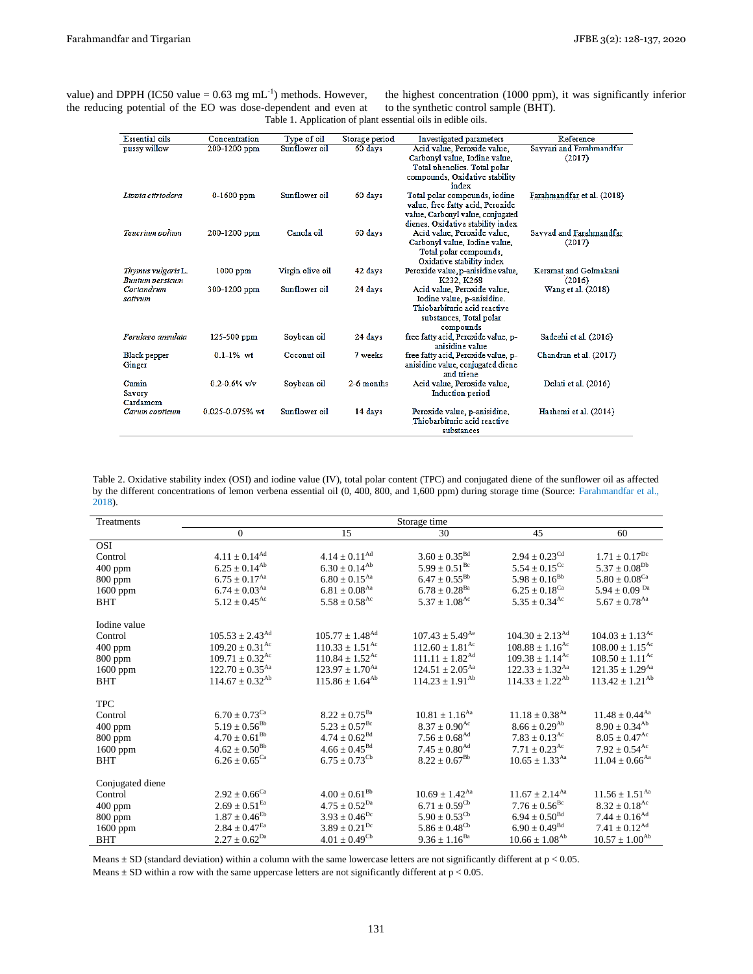| value) and DPPH (IC50 value = $0.63 \text{ mg} \text{ mL}^{-1}$ ) methods. However, |                                                              | the highest concentrati  |
|-------------------------------------------------------------------------------------|--------------------------------------------------------------|--------------------------|
| the reducing potential of the EO was dose-dependent and even at                     |                                                              | to the synthetic control |
|                                                                                     | Table 1. Application of plant essential oils in edible oils. |                          |

the highest concentration (1000 ppm), it was significantly inferior to the synthetic control sample (BHT).

| <b>Essential</b> oils  | Concentration    | Type of oil      | Storage period | Investigated parameters                                      | Reference                  |
|------------------------|------------------|------------------|----------------|--------------------------------------------------------------|----------------------------|
| pussy willow           | 200-1200 ppm     | Sunflower oil    | 60 days        | Acid value, Peroxide value,                                  | Savvari and Farahmandfar   |
|                        |                  |                  |                | Carbonyl value, Iodine value,                                | (2017)                     |
|                        |                  |                  |                | Total phenolics. Total polar                                 |                            |
|                        |                  |                  |                | compounds, Oxidative stability                               |                            |
|                        |                  |                  |                | index                                                        |                            |
| Lippia citriodora      | $0-1600$ ppm     | Sunflower oil    | 60 days        | Total polar compounds, iodine                                | Farahmandfar et al. (2018) |
|                        |                  |                  |                | value, free fatty acid, Peroxide                             |                            |
|                        |                  |                  |                | value, Carbonyl value, conjugated                            |                            |
|                        |                  |                  |                | dienes. Oxidative stability index                            |                            |
| Teucrium polium        | 200-1200 ppm     | Canola oil       | 60 days        | Acid value, Peroxide value,                                  | Sayyad and Farahmandfar    |
|                        |                  |                  |                | Carbonyl value, Iodine value,                                | (2017)                     |
|                        |                  |                  |                | Total polar compounds,                                       |                            |
|                        |                  |                  |                | Oxidative stability index                                    |                            |
| Thymus vulgaris L.     | $1000$ ppm       | Virgin olive oil | 42 days        | Peroxide value, p-anisidine value,                           | Keramat and Golmakani      |
| <b>Bunium</b> parsicum |                  |                  |                | K232, K268                                                   | (2016)                     |
| Coriandrum             | 300-1200 ppm     | Sunflower oil    | 24 days        | Acid value, Peroxide value,                                  | Wang et al. (2018)         |
| sativum                |                  |                  |                | Iodine value, p-anisidine.                                   |                            |
|                        |                  |                  |                | Thiobarbituric acid reactive                                 |                            |
|                        |                  |                  |                | substances, Total polar                                      |                            |
|                        |                  |                  |                | compounds                                                    |                            |
| Ferulago angulata      | $125 - 500$ ppm  | Soybean oil      | 24 days        | free fatty acid. Peroxide value, p-                          | Sadeghi et al. (2016)      |
|                        |                  |                  |                | anisidine value                                              |                            |
| Black pepper           | $0.1 - 1\%$ wt   | Coconut oil      | 7 weeks        | free fatty acid, Peroxide value, p-                          | Chandran et al. (2017)     |
| Ginger                 |                  |                  |                | anisidine value, conjugated diene                            |                            |
|                        | $0.2 - 0.6%$ v/v |                  | 2-6 months     | and triene                                                   |                            |
| Cumin                  |                  | Soybean oil      |                | Acid value, Peroxide value,                                  | Dolati et al. (2016)       |
| Savory<br>Cardamom     |                  |                  |                | Induction period                                             |                            |
| Carum copticum         | 0.025-0.075% wt  | Sunflower oil    | 14 days        |                                                              | Hashemi et al. (2014)      |
|                        |                  |                  |                | Peroxide value, p-anisidine,<br>Thiobarbituric acid reactive |                            |
|                        |                  |                  |                | substances                                                   |                            |

Table 2. Oxidative stability index (OSI) and iodine value (IV), total polar content (TPC) and conjugated diene of the sunflower oil as affected by the different concentrations of lemon verbena essential oil (0, 400, 800, and 1,600 ppm) during storage time (Source: Farahmandfar et al., 2018).

| Treatments       | Storage time                    |                                 |                                 |                                 |                                 |  |
|------------------|---------------------------------|---------------------------------|---------------------------------|---------------------------------|---------------------------------|--|
|                  | $\overline{0}$                  | 15                              | 30                              | 45                              | 60                              |  |
| <b>OSI</b>       |                                 |                                 |                                 |                                 |                                 |  |
| Control          | $4.11 \pm 0.14^{Ad}$            | $4.14 \pm 0.11^{Ad}$            | $3.60 \pm 0.35^{\text{Bd}}$     | $2.94 \pm 0.23^{\text{Cd}}$     | $1.71 \pm 0.17^{Dc}$            |  |
| $400$ ppm        | $6.25 \pm 0.14^{Ab}$            | $6.30 \pm 0.14^{Ab}$            | $5.99 \pm 0.51^{\rm Bc}$        | $5.54\pm0.15^{\text{Cc}}$       | $5.37 \pm 0.08^{Db}$            |  |
| $800$ ppm        | $6.75 \pm 0.17^{Aa}$            | $6.80 \pm 0.15$ <sup>Aa</sup>   | $6.47 \pm 0.55^{\rm Bb}$        | $5.98 \pm 0.16^{Bb}$            | $5.80 \pm 0.08$ <sup>Ca</sup>   |  |
| 1600 ppm         | $6.74 \pm 0.03$ <sup>Aa</sup>   | $6.81 \pm 0.08^{\text{Aa}}$     | $6.78 \pm 0.28$ <sup>Ba</sup>   | $6.25 \pm 0.18$ <sup>Ca</sup>   | 5.94 $\pm$ 0.09 <sup>Da</sup>   |  |
| <b>BHT</b>       | $5.12 \pm 0.45^{\text{Ac}}$     | $5.58 \pm 0.58$ <sup>Ac</sup>   | $5.37 \pm 1.08$ <sup>Ac</sup>   | $5.35 \pm 0.34^{\rm Ac}$        | $5.67 + 0.78$ <sup>Aa</sup>     |  |
| Iodine value     |                                 |                                 |                                 |                                 |                                 |  |
| Control          | $105.53 \pm 2.43$ <sup>Ad</sup> | $105.77 \pm 1.48^{\text{Ad}}$   | $107.43 \pm 5.49^{\text{Ae}}$   | $104.30 \pm 2.13$ <sup>Ad</sup> | $104.03 \pm 1.13$ <sup>Ac</sup> |  |
| $400$ ppm        | $109.20 \pm 0.31$ <sup>Ac</sup> | $110.33 \pm 1.51$ <sup>Ac</sup> | $112.60 \pm 1.81$ <sup>Ac</sup> | $108.88\pm1.16^{\rm Ac}$        | $108.00 \pm 1.15^{Ac}$          |  |
| $800$ ppm        | $109.71 \pm 0.32$ <sup>Ac</sup> | $110.84 \pm 1.52$ <sup>Ac</sup> | $111.11 \pm 1.82^{Ad}$          | $109.38 \pm 1.14$ <sup>Ac</sup> | $108.50 \pm 1.11^{\text{Ac}}$   |  |
| $1600$ ppm       | $122.70 \pm 0.35$ <sup>Aa</sup> | $123.97 \pm 1.70^{Aa}$          | $124.51 \pm 2.05^{Aa}$          | $122.33 \pm 1.32$ <sup>Aa</sup> | $121.35 \pm 1.29$ <sup>Aa</sup> |  |
| <b>BHT</b>       | $114.67 \pm 0.32^{Ab}$          | $115.86 \pm 1.64^{Ab}$          | $114.23 \pm 1.91^{Ab}$          | $114.33 \pm 1.22^{Ab}$          | $113.42 + 1.21^{Ab}$            |  |
| <b>TPC</b>       |                                 |                                 |                                 |                                 |                                 |  |
| Control          | $6.70 \pm 0.73$ <sup>Ca</sup>   | $8.22 \pm 0.75^{Ba}$            | $10.81 \pm 1.16$ <sup>Aa</sup>  | $11.18 \pm 0.38$ <sup>Aa</sup>  | $11.48 + 0.44^{Aa}$             |  |
| 400 ppm          | $5.19 \pm 0.56^{\rm Bb}$        | $5.23 \pm 0.57^{\rm Bc}$        | $8.37 \pm 0.90$ <sup>Ac</sup>   | $8.66 \pm 0.29$ <sup>Ab</sup>   | $8.90 \pm 0.34^{Ab}$            |  |
| 800 ppm          | $4.70 \pm 0.61^{\rm Bb}$        | $4.74 \pm 0.62^{Bd}$            | $7.56 \pm 0.68$ <sup>Ad</sup>   | $7.83 \pm 0.13^{\text{Ac}}$     | $8.05 \pm 0.47$ <sup>Ac</sup>   |  |
| $1600$ ppm       | $4.62 \pm 0.50^{Bb}$            | $4.66 \pm 0.45^{\rm Bd}$        | $7.45 \pm 0.80^{\text{Ad}}$     | $7.71 \pm 0.23$ <sup>Ac</sup>   | $7.92 + 0.54^{\text{Ac}}$       |  |
| <b>BHT</b>       | $6.26 \pm 0.65^{\text{Ca}}$     | $6.75 \pm 0.73^{\rm cb}$        | $8.22 \pm 0.67^{\rm Bb}$        | $10.65 \pm 1.33$ <sup>Aa</sup>  | $11.04 + 0.66$ <sup>Aa</sup>    |  |
| Conjugated diene |                                 |                                 |                                 |                                 |                                 |  |
| Control          | $2.92 \pm 0.66$ <sup>Ca</sup>   | $4.00 \pm 0.61^{\rm Bb}$        | $10.69 \pm 1.42$ <sup>Aa</sup>  | $11.67 \pm 2.14$ <sup>Aa</sup>  | $11.56 \pm 1.51$ <sup>Aa</sup>  |  |
| 400 ppm          | $2.69\pm0.51^{\mathrm{Ea}}$     | $4.75 \pm 0.52^{Da}$            | $6.71 \pm 0.59^{\rm cb}$        | $7.76 \pm 0.56^{\rm Bc}$        | $8.32 \pm 0.18^{Ac}$            |  |
| $800$ ppm        | $1.87 \pm 0.46^{\rm Eb}$        | $3.93 \pm 0.46^{\rm Dc}$        | $5.90 \pm 0.53^{\text{Cb}}$     | $6.94 \pm 0.50^{Bd}$            | $7.44 \pm 0.16^{Ad}$            |  |
| $1600$ ppm       | $2.84 \pm 0.47^{\text{Ea}}$     | $3.89 \pm 0.21^{Dc}$            | $5.86 \pm 0.48^{\rm cb}$        | $6.90 \pm 0.49$ <sup>Bd</sup>   | $7.41 \pm 0.12^{Ad}$            |  |
| <b>BHT</b>       | $2.27 \pm 0.62^{Da}$            | $4.01 \pm 0.49^{\text{Cb}}$     | $9.36 \pm 1.16^{Ba}$            | $10.66 \pm 1.08^{Ab}$           | $10.57 \pm 1.00^{Ab}$           |  |

Means  $\pm$  SD (standard deviation) within a column with the same lowercase letters are not significantly different at  $p < 0.05$ .

Means  $\pm$  SD within a row with the same uppercase letters are not significantly different at  $p < 0.05$ .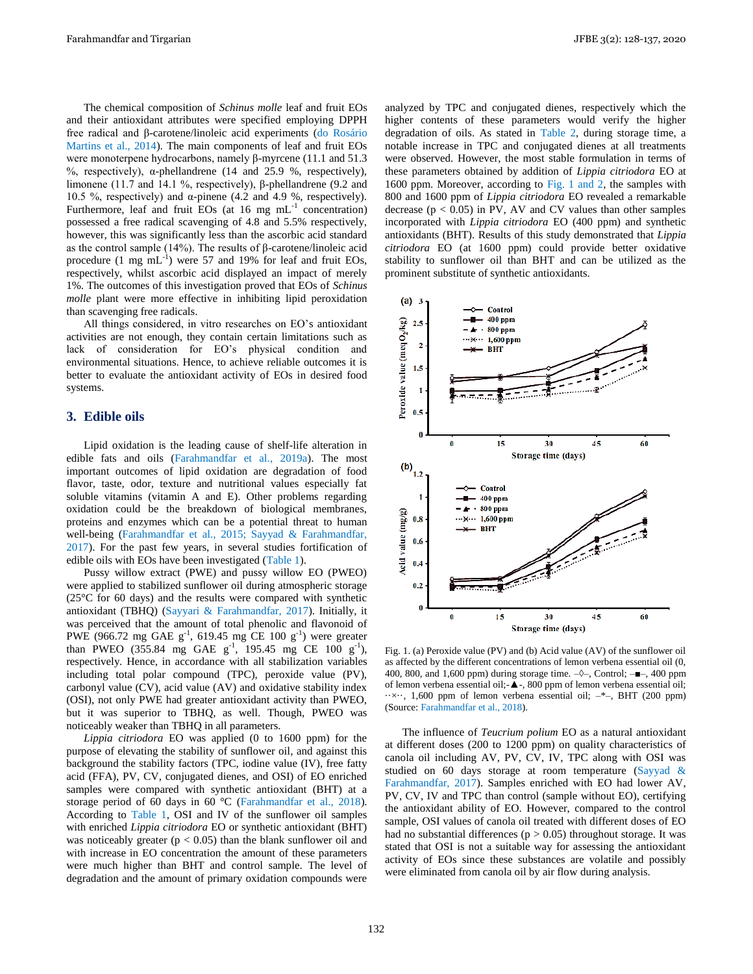The chemical composition of *Schinus molle* leaf and fruit EOs and their antioxidant attributes were specified employing DPPH free radical and β-carotene/linoleic acid experiments (do Rosário Martins et al., 2014). The main components of leaf and fruit EOs were monoterpene hydrocarbons, namely β-myrcene (11.1 and 51.3 %, respectively),  $α$ -phellandrene (14 and 25.9 %, respectively), limonene (11.7 and 14.1 %, respectively), β-phellandrene (9.2 and 10.5 %, respectively) and α-pinene (4.2 and 4.9 %, respectively). Furthermore, leaf and fruit EOs (at  $16 \text{ mg } \text{mL}^{-1}$  concentration) possessed a free radical scavenging of 4.8 and 5.5% respectively, however, this was significantly less than the ascorbic acid standard as the control sample (14%). The results of β-carotene/linoleic acid procedure (1 mg  $mL^{-1}$ ) were 57 and 19% for leaf and fruit EOs, respectively, whilst ascorbic acid displayed an impact of merely 1%. The outcomes of this investigation proved that EOs of *Schinus molle* plant were more effective in inhibiting lipid peroxidation than scavenging free radicals.

All things considered, in vitro researches on EO's antioxidant activities are not enough, they contain certain limitations such as lack of consideration for EO's physical condition and environmental situations. Hence, to achieve reliable outcomes it is better to evaluate the antioxidant activity of EOs in desired food systems.

## **3. Edible oils**

Lipid oxidation is the leading cause of shelf-life alteration in edible fats and oils (Farahmandfar et al., 2019a). The most important outcomes of lipid oxidation are degradation of food flavor, taste, odor, texture and nutritional values especially fat soluble vitamins (vitamin A and E). Other problems regarding oxidation could be the breakdown of biological membranes, proteins and enzymes which can be a potential threat to human well-being (Farahmandfar et al., 2015; Sayyad & Farahmandfar, 2017). For the past few years, in several studies fortification of edible oils with EOs have been investigated (Table 1).

Pussy willow extract (PWE) and pussy willow EO (PWEO) were applied to stabilized sunflower oil during atmospheric storage (25°C for 60 days) and the results were compared with synthetic antioxidant (TBHQ) (Sayyari & Farahmandfar, 2017). Initially, it was perceived that the amount of total phenolic and flavonoid of PWE (966.72 mg GAE  $g^{-1}$ , 619.45 mg CE 100  $g^{-1}$ ) were greater than PWEO (355.84 mg GAE  $g^{-1}$ , 195.45 mg CE 100  $g^{-1}$ ), respectively. Hence, in accordance with all stabilization variables including total polar compound (TPC), peroxide value (PV), carbonyl value (CV), acid value (AV) and oxidative stability index (OSI), not only PWE had greater antioxidant activity than PWEO, but it was superior to TBHQ, as well. Though, PWEO was noticeably weaker than TBHQ in all parameters.

*Lippia citriodora* EO was applied (0 to 1600 ppm) for the purpose of elevating the stability of sunflower oil, and against this background the stability factors (TPC, iodine value (IV), free fatty acid (FFA), PV, CV, conjugated dienes, and OSI) of EO enriched samples were compared with synthetic antioxidant (BHT) at a storage period of 60 days in 60 °C (Farahmandfar et al., 2018). According to Table 1, OSI and IV of the sunflower oil samples with enriched *Lippia citriodora* EO or synthetic antioxidant (BHT) was noticeably greater ( $p < 0.05$ ) than the blank sunflower oil and with increase in EO concentration the amount of these parameters were much higher than BHT and control sample. The level of degradation and the amount of primary oxidation compounds were

analyzed by TPC and conjugated dienes, respectively which the higher contents of these parameters would verify the higher degradation of oils. As stated in Table 2, during storage time, a notable increase in TPC and conjugated dienes at all treatments were observed. However, the most stable formulation in terms of these parameters obtained by addition of *Lippia citriodora* EO at 1600 ppm. Moreover, according to Fig. 1 and 2, the samples with 800 and 1600 ppm of *Lippia citriodora* EO revealed a remarkable decrease  $(p < 0.05)$  in PV, AV and CV values than other samples incorporated with *Lippia citriodora* EO (400 ppm) and synthetic antioxidants (BHT). Results of this study demonstrated that *Lippia citriodora* EO (at 1600 ppm) could provide better oxidative stability to sunflower oil than BHT and can be utilized as the prominent substitute of synthetic antioxidants.



Fig. 1. (a) Peroxide value (PV) and (b) Acid value (AV) of the sunflower oil as affected by the different concentrations of lemon verbena essential oil (0, 400, 800, and 1,600 ppm) during storage time.  $-\diamond$ , Control;  $-\blacksquare$ , 400 ppm of lemon verbena essential oil;-▲-, 800 ppm of lemon verbena essential oil;  $\cdots \times \cdots$ , 1,600 ppm of lemon verbena essential oil;  $-*$ , BHT (200 ppm) (Source: Farahmandfar et al., 2018).

The influence of *Teucrium polium* EO as a natural antioxidant at different doses (200 to 1200 ppm) on quality characteristics of canola oil including AV, PV, CV, IV, TPC along with OSI was studied on 60 days storage at room temperature (Sayyad & Farahmandfar, 2017). Samples enriched with EO had lower AV, PV, CV, IV and TPC than control (sample without EO), certifying the antioxidant ability of EO. However, compared to the control sample, OSI values of canola oil treated with different doses of EO had no substantial differences ( $p > 0.05$ ) throughout storage. It was stated that OSI is not a suitable way for assessing the antioxidant activity of EOs since these substances are volatile and possibly were eliminated from canola oil by air flow during analysis.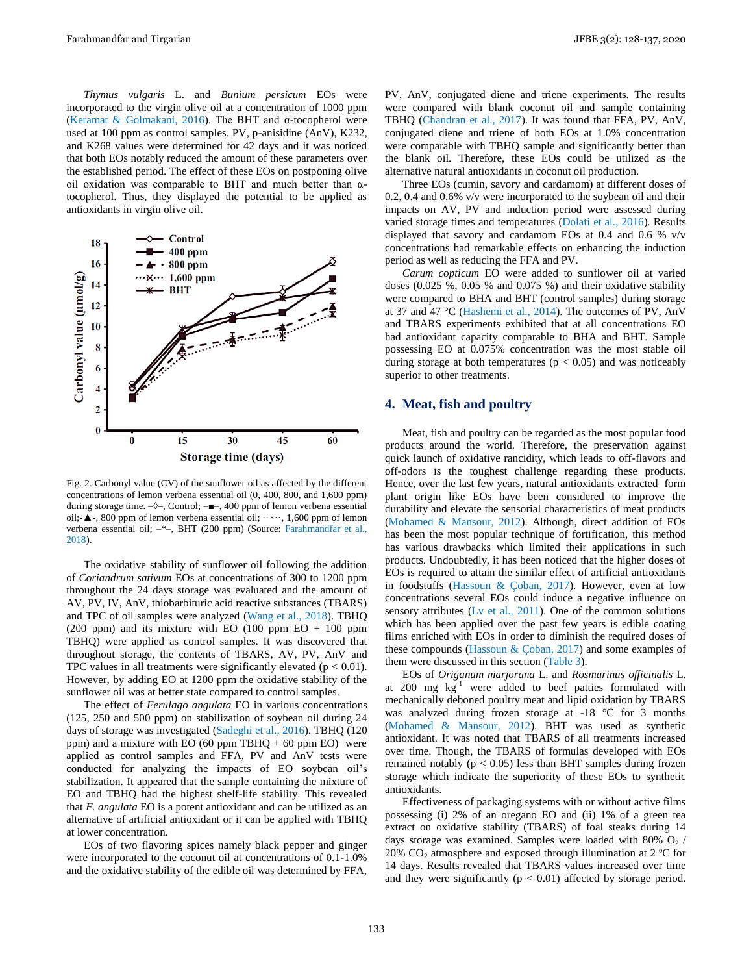*Thymus vulgaris* L. and *Bunium persicum* EOs were incorporated to the virgin olive oil at a concentration of 1000 ppm (Keramat & Golmakani, 2016). The BHT and α-tocopherol were used at 100 ppm as control samples. PV, p-anisidine (AnV), K232, and K268 values were determined for 42 days and it was noticed that both EOs notably reduced the amount of these parameters over the established period. The effect of these EOs on postponing olive oil oxidation was comparable to BHT and much better than αtocopherol. Thus, they displayed the potential to be applied as antioxidants in virgin olive oil.



Fig. 2. Carbonyl value (CV) of the sunflower oil as affected by the different concentrations of lemon verbena essential oil (0, 400, 800, and 1,600 ppm) during storage time.  $-\diamond$ -, Control;  $-\blacksquare$ -, 400 ppm of lemon verbena essential oil;- $\blacktriangle$ -, 800 ppm of lemon verbena essential oil;  $\cdots \times \cdots$ , 1,600 ppm of lemon verbena essential oil; –\*–, BHT (200 ppm) (Source: Farahmandfar et al., 2018).

The oxidative stability of sunflower oil following the addition of *Coriandrum sativum* EOs at concentrations of 300 to 1200 ppm throughout the 24 days storage was evaluated and the amount of AV, PV, IV, AnV, thiobarbituric acid reactive substances (TBARS) and TPC of oil samples were analyzed (Wang et al., 2018). TBHQ (200 ppm) and its mixture with EO (100 ppm EO  $+$  100 ppm TBHQ) were applied as control samples. It was discovered that throughout storage, the contents of TBARS, AV, PV, AnV and TPC values in all treatments were significantly elevated ( $p < 0.01$ ). However, by adding EO at 1200 ppm the oxidative stability of the sunflower oil was at better state compared to control samples.

The effect of *Ferulago angulata* EO in various concentrations (125, 250 and 500 ppm) on stabilization of soybean oil during 24 days of storage was investigated (Sadeghi et al., 2016). TBHQ (120 ppm) and a mixture with EO (60 ppm TBHQ  $+ 60$  ppm EO) were applied as control samples and FFA, PV and AnV tests were conducted for analyzing the impacts of EO soybean oil's stabilization. It appeared that the sample containing the mixture of EO and TBHQ had the highest shelf-life stability. This revealed that *F. angulata* EO is a potent antioxidant and can be utilized as an alternative of artificial antioxidant or it can be applied with TBHQ at lower concentration.

EOs of two flavoring spices namely black pepper and ginger were incorporated to the coconut oil at concentrations of 0.1-1.0% and the oxidative stability of the edible oil was determined by FFA, PV, AnV, conjugated diene and triene experiments. The results were compared with blank coconut oil and sample containing TBHQ (Chandran et al., 2017). It was found that FFA, PV, AnV, conjugated diene and triene of both EOs at 1.0% concentration were comparable with TBHQ sample and significantly better than the blank oil. Therefore, these EOs could be utilized as the alternative natural antioxidants in coconut oil production.

Three EOs (cumin, savory and cardamom) at different doses of 0.2, 0.4 and 0.6% v/v were incorporated to the soybean oil and their impacts on AV, PV and induction period were assessed during varied storage times and temperatures (Dolati et al., 2016). Results displayed that savory and cardamom EOs at 0.4 and 0.6 % v/v concentrations had remarkable effects on enhancing the induction period as well as reducing the FFA and PV.

*Carum copticum* EO were added to sunflower oil at varied doses (0.025 %, 0.05 % and 0.075 %) and their oxidative stability were compared to BHA and BHT (control samples) during storage at 37 and 47 °C (Hashemi et al., 2014). The outcomes of PV, AnV and TBARS experiments exhibited that at all concentrations EO had antioxidant capacity comparable to BHA and BHT. Sample possessing EO at 0.075% concentration was the most stable oil during storage at both temperatures  $(p < 0.05)$  and was noticeably superior to other treatments.

# **4. Meat, fish and poultry**

Meat, fish and poultry can be regarded as the most popular food products around the world. Therefore, the preservation against quick launch of oxidative rancidity, which leads to off-flavors and off-odors is the toughest challenge regarding these products. Hence, over the last few years, natural antioxidants extracted form plant origin like EOs have been considered to improve the durability and elevate the sensorial characteristics of meat products (Mohamed & Mansour, 2012). Although, direct addition of EOs has been the most popular technique of fortification, this method has various drawbacks which limited their applications in such products. Undoubtedly, it has been noticed that the higher doses of EOs is required to attain the similar effect of artificial antioxidants in foodstuffs (Hassoun & Çoban, 2017). However, even at low concentrations several EOs could induce a negative influence on sensory attributes (Lv et al., 2011). One of the common solutions which has been applied over the past few years is edible coating films enriched with EOs in order to diminish the required doses of these compounds (Hassoun & Çoban, 2017) and some examples of them were discussed in this section (Table 3).

EOs of *Origanum marjorana* L. and *Rosmarinus officinalis* L. at 200 mg kg-1 were added to beef patties formulated with mechanically deboned poultry meat and lipid oxidation by TBARS was analyzed during frozen storage at -18 °C for 3 months (Mohamed & Mansour, 2012). BHT was used as synthetic antioxidant. It was noted that TBARS of all treatments increased over time. Though, the TBARS of formulas developed with EOs remained notably  $(p < 0.05)$  less than BHT samples during frozen storage which indicate the superiority of these EOs to synthetic antioxidants.

Effectiveness of packaging systems with or without active films possessing (i) 2% of an oregano EO and (ii) 1% of a green tea extract on oxidative stability (TBARS) of foal steaks during 14 days storage was examined. Samples were loaded with 80%  $O<sub>2</sub>$  / 20%  $CO<sub>2</sub>$  atmosphere and exposed through illumination at 2 °C for 14 days. Results revealed that TBARS values increased over time and they were significantly ( $p < 0.01$ ) affected by storage period.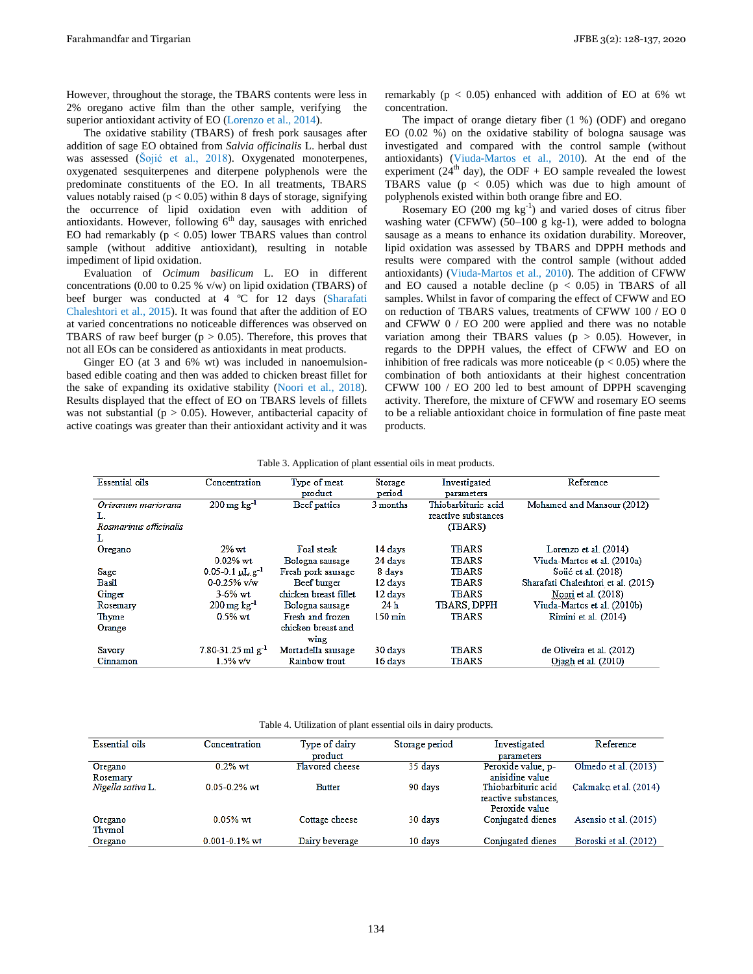However, throughout the storage, the TBARS contents were less in 2% oregano active film than the other sample, verifying the superior antioxidant activity of EO (Lorenzo et al., 2014).

The oxidative stability (TBARS) of fresh pork sausages after addition of sage EO obtained from *Salvia officinalis* L. herbal dust was assessed (Šojić et al., 2018). Oxygenated monoterpenes, oxygenated sesquiterpenes and diterpene polyphenols were the predominate constituents of the EO. In all treatments, TBARS values notably raised ( $p < 0.05$ ) within 8 days of storage, signifying the occurrence of lipid oxidation even with addition of antioxidants. However, following  $6<sup>th</sup>$  day, sausages with enriched EO had remarkably  $(p < 0.05)$  lower TBARS values than control sample (without additive antioxidant), resulting in notable impediment of lipid oxidation.

Evaluation of *Ocimum basilicum* L. EO in different concentrations (0.00 to 0.25 % v/w) on lipid oxidation (TBARS) of beef burger was conducted at 4 ºC for 12 days (Sharafati Chaleshtori et al., 2015). It was found that after the addition of EO at varied concentrations no noticeable differences was observed on TBARS of raw beef burger ( $p > 0.05$ ). Therefore, this proves that not all EOs can be considered as antioxidants in meat products.

Ginger EO (at 3 and 6% wt) was included in nanoemulsionbased edible coating and then was added to chicken breast fillet for the sake of expanding its oxidative stability (Noori et al., 2018). Results displayed that the effect of EO on TBARS levels of fillets was not substantial ( $p > 0.05$ ). However, antibacterial capacity of active coatings was greater than their antioxidant activity and it was

remarkably ( $p < 0.05$ ) enhanced with addition of EO at 6% wt concentration.

The impact of orange dietary fiber (1 %) (ODF) and oregano EO (0.02 %) on the oxidative stability of bologna sausage was investigated and compared with the control sample (without antioxidants) (Viuda-Martos et al., 2010). At the end of the experiment (24<sup>th</sup> day), the ODF + EO sample revealed the lowest TBARS value ( $p < 0.05$ ) which was due to high amount of polyphenols existed within both orange fibre and EO.

Rosemary EO  $(200 \text{ mg kg}^{-1})$  and varied doses of citrus fiber washing water (CFWW) (50–100 g kg-1), were added to bologna sausage as a means to enhance its oxidation durability. Moreover, lipid oxidation was assessed by TBARS and DPPH methods and results were compared with the control sample (without added antioxidants) (Viuda-Martos et al., 2010). The addition of CFWW and EO caused a notable decline  $(p < 0.05)$  in TBARS of all samples. Whilst in favor of comparing the effect of CFWW and EO on reduction of TBARS values, treatments of CFWW 100 / EO 0 and CFWW 0 / EO 200 were applied and there was no notable variation among their TBARS values ( $p > 0.05$ ). However, in regards to the DPPH values, the effect of CFWW and EO on inhibition of free radicals was more noticeable ( $p < 0.05$ ) where the combination of both antioxidants at their highest concentration CFWW 100 / EO 200 led to best amount of DPPH scavenging activity. Therefore, the mixture of CFWW and rosemary EO seems to be a reliable antioxidant choice in formulation of fine paste meat products.

| <b>Essential oils</b>  | Concentration                         | Type of meat          | Investigated<br>Storage |                      | Reference                           |
|------------------------|---------------------------------------|-----------------------|-------------------------|----------------------|-------------------------------------|
|                        |                                       | product               | period                  | parameters           |                                     |
| Origanum mariorana     | $200 \,\mathrm{mg}\,\mathrm{kg}^{-1}$ | <b>Beef</b> patties   | 3 months                | Thiobarbituric acid  | Mohamed and Mansour (2012)          |
| L.                     |                                       |                       |                         | reactive substances. |                                     |
| Rosmarinus officinalis |                                       |                       |                         | (TBARS)              |                                     |
| L                      |                                       |                       |                         |                      |                                     |
| Oregano                | $2\%$ wt                              | Foal steak            | 14 days                 | <b>TBARS</b>         | Lorenzo et al. (2014)               |
|                        | $0.02\%$ wt.                          | Bologna sausage       | 24 days                 | TBARS                | Viuda-Martos et al. (2010a)         |
| Sage                   | $0.05-0.1$ $\mu$ L $g^{-1}$           | Fresh pork sausage    | 8 days                  | TBARS                | Soiić et al. (2018)                 |
| Basil                  | $0-0.25%$ v/w                         | Beef burger           | 12 days                 | <b>TBARS</b>         | Sharafati Chaleshtori et al. (2015) |
| Ginger                 | $3 - 6%$ wt                           | chicken breast fillet | 12 days                 | <b>TBARS</b>         | Noori et al. (2018)                 |
| Rosemary               | $200 \,\mathrm{mg}\,\mathrm{kg}^{-1}$ | Bologna sausage       | 24h                     | <b>TBARS, DPPH</b>   | Viuda-Martos et al. (2010b)         |
| Thyme                  | $0.5%$ wt                             | Fresh and frozen      | $150 \,\mathrm{min}$    | <b>TBARS</b>         | Rimini et al. (2014)                |
| Orange                 |                                       | chicken breast and    |                         |                      |                                     |
|                        |                                       | wing                  |                         |                      |                                     |
| Savory                 | $7.80 - 31.25$ ml g <sup>-1</sup>     | Mortadella sausage    | 30 days                 | TBARS                | de Oliveira et al. (2012)           |
| Cinnamon               | $1.5%$ v/v                            | Rainbow trout         | 16 days                 | TBARS                | Ojagh et al. (2010)                 |
|                        |                                       |                       |                         |                      |                                     |

Table 3. Application of plant essential oils in meat products.

Table 4. Utilization of plant essential oils in dairy products.

| <b>Essential oils</b> | Concentration      | Type of dairy   | Storage period | Investigated         | Reference              |
|-----------------------|--------------------|-----------------|----------------|----------------------|------------------------|
|                       |                    | product         |                | parameters           |                        |
| Oregano               | $0.2\%$ wt         | Flavored cheese | 35 days        | Peroxide value, p-   | Olmedo et al. (2013)   |
| Rosemary              |                    |                 |                | anisidine value      |                        |
| Nigella sativa L.     | $0.05 - 0.2%$ wt   | <b>Butter</b>   | 90 days        | Thiobarbituric acid  | Cakmakci et al. (2014) |
|                       |                    |                 |                | reactive substances. |                        |
|                       |                    |                 |                | Peroxide value       |                        |
| Oregano               | $0.05%$ wt         | Cottage cheese  | 30 days        | Conjugated dienes    | Asensio et al. (2015)  |
| Thymol                |                    |                 |                |                      |                        |
| Oregano               | $0.001 - 0.1\%$ wt | Dairy beverage  | 10 days        | Conjugated dienes    | Boroski et al. (2012)  |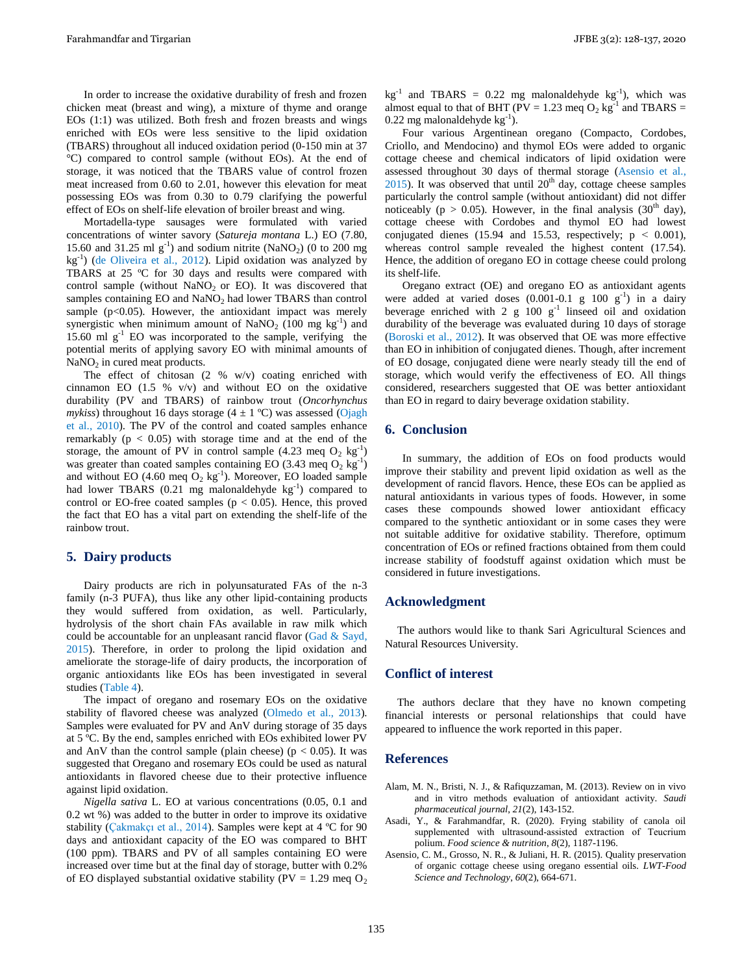In order to increase the oxidative durability of fresh and frozen chicken meat (breast and wing), a mixture of thyme and orange EOs (1:1) was utilized. Both fresh and frozen breasts and wings enriched with EOs were less sensitive to the lipid oxidation (TBARS) throughout all induced oxidation period (0-150 min at 37 °C) compared to control sample (without EOs). At the end of storage, it was noticed that the TBARS value of control frozen meat increased from 0.60 to 2.01, however this elevation for meat possessing EOs was from 0.30 to 0.79 clarifying the powerful effect of EOs on shelf-life elevation of broiler breast and wing.

Mortadella-type sausages were formulated with varied concentrations of winter savory (*Satureja montana* L.) EO (7.80, 15.60 and 31.25 ml  $g^{-1}$ ) and sodium nitrite (NaNO<sub>2</sub>) (0 to 200 mg kg-1 ) (de Oliveira et al., 2012). Lipid oxidation was analyzed by TBARS at 25 ºC for 30 days and results were compared with control sample (without  $NaNO<sub>2</sub>$  or EO). It was discovered that samples containing  $EO$  and  $NaNO<sub>2</sub>$  had lower TBARS than control sample ( $p<0.05$ ). However, the antioxidant impact was merely synergistic when minimum amount of NaNO<sub>2</sub> (100 mg  $\text{kg}^{-1}$ ) and 15.60 ml  $g^{-1}$  EO was incorporated to the sample, verifying the potential merits of applying savory EO with minimal amounts of  $NaNO<sub>2</sub>$  in cured meat products.

The effect of chitosan (2 % w/v) coating enriched with cinnamon EO  $(1.5 \% \text{v/v})$  and without EO on the oxidative durability (PV and TBARS) of rainbow trout (*Oncorhynchus mykiss*) throughout 16 days storage  $(4 \pm 1 \degree C)$  was assessed (Ojagh et al., 2010). The PV of the control and coated samples enhance remarkably (p < 0.05) with storage time and at the end of the storage, the amount of PV in control sample  $(4.23 \text{ meq } O_2 \text{ kg}^{-1})$ was greater than coated samples containing EO (3.43 meq  $O_2$  kg<sup>-1</sup>) and without EO (4.60 meq  $O_2$  kg<sup>-1</sup>). Moreover, EO loaded sample had lower TBARS  $(0.21 \text{ mg}$  malonaldehyde  $\text{kg}^{-1}$ ) compared to control or EO-free coated samples ( $p < 0.05$ ). Hence, this proved the fact that EO has a vital part on extending the shelf-life of the rainbow trout.

#### **5. Dairy products**

Dairy products are rich in polyunsaturated FAs of the n-3 family (n-3 PUFA), thus like any other lipid-containing products they would suffered from oxidation, as well. Particularly, hydrolysis of the short chain FAs available in raw milk which could be accountable for an unpleasant rancid flavor (Gad  $\&$  Sayd, 2015). Therefore, in order to prolong the lipid oxidation and ameliorate the storage-life of dairy products, the incorporation of organic antioxidants like EOs has been investigated in several studies (Table 4).

The impact of oregano and rosemary EOs on the oxidative stability of flavored cheese was analyzed (Olmedo et al., 2013). Samples were evaluated for PV and AnV during storage of 35 days at 5 ºC. By the end, samples enriched with EOs exhibited lower PV and AnV than the control sample (plain cheese) ( $p < 0.05$ ). It was suggested that Oregano and rosemary EOs could be used as natural antioxidants in flavored cheese due to their protective influence against lipid oxidation.

*Nigella sativa* L. EO at various concentrations (0.05, 0.1 and 0.2 wt %) was added to the butter in order to improve its oxidative stability (Çakmakçı et al., 2014). Samples were kept at 4 ºC for 90 days and antioxidant capacity of the EO was compared to BHT (100 ppm). TBARS and PV of all samples containing EO were increased over time but at the final day of storage, butter with 0.2% of EO displayed substantial oxidative stability (PV = 1.29 meq  $O_2$ )  $kg^{-1}$  and TBARS = 0.22 mg malonaldehyde  $kg^{-1}$ ), which was almost equal to that of BHT ( $PV = 1.23$  meq  $O_2$  kg<sup>-1</sup> and TBARS =  $0.22$  mg malonaldehyde  $kg^{-1}$ ).

Four various Argentinean oregano (Compacto, Cordobes, Criollo, and Mendocino) and thymol EOs were added to organic cottage cheese and chemical indicators of lipid oxidation were assessed throughout 30 days of thermal storage (Asensio et al.,  $2015$ ). It was observed that until  $20<sup>th</sup>$  day, cottage cheese samples particularly the control sample (without antioxidant) did not differ noticeably ( $p > 0.05$ ). However, in the final analysis (30<sup>th</sup> day), cottage cheese with Cordobes and thymol EO had lowest conjugated dienes (15.94 and 15.53, respectively;  $p < 0.001$ ), whereas control sample revealed the highest content (17.54). Hence, the addition of oregano EO in cottage cheese could prolong its shelf-life.

Oregano extract (OE) and oregano EO as antioxidant agents were added at varied doses  $(0.001-0.1 \text{ g } 100 \text{ g}^{-1})$  in a dairy beverage enriched with 2  $g$  100  $g^{-1}$  linseed oil and oxidation durability of the beverage was evaluated during 10 days of storage (Boroski et al., 2012). It was observed that OE was more effective than EO in inhibition of conjugated dienes. Though, after increment of EO dosage, conjugated diene were nearly steady till the end of storage, which would verify the effectiveness of EO. All things considered, researchers suggested that OE was better antioxidant than EO in regard to dairy beverage oxidation stability.

# **6. Conclusion**

In summary, the addition of EOs on food products would improve their stability and prevent lipid oxidation as well as the development of rancid flavors. Hence, these EOs can be applied as natural antioxidants in various types of foods. However, in some cases these compounds showed lower antioxidant efficacy compared to the synthetic antioxidant or in some cases they were not suitable additive for oxidative stability. Therefore, optimum concentration of EOs or refined fractions obtained from them could increase stability of foodstuff against oxidation which must be considered in future investigations.

#### **Acknowledgment**

The authors would like to thank Sari Agricultural Sciences and Natural Resources University.

#### **Conflict of interest**

The authors declare that they have no known competing financial interests or personal relationships that could have appeared to influence the work reported in this paper.

## **References**

- Alam, M. N., Bristi, N. J., & Rafiquzzaman, M. (2013). Review on in vivo and in vitro methods evaluation of antioxidant activity. *Saudi pharmaceutical journal*, *21*(2), 143-152.
- Asadi, Y., & Farahmandfar, R. (2020). Frying stability of canola oil supplemented with ultrasound-assisted extraction of Teucrium polium. *Food science & nutrition*, *8*(2), 1187-1196.
- Asensio, C. M., Grosso, N. R., & Juliani, H. R. (2015). Quality preservation of organic cottage cheese using oregano essential oils. *LWT-Food Science and Technology*, *60*(2), 664-671.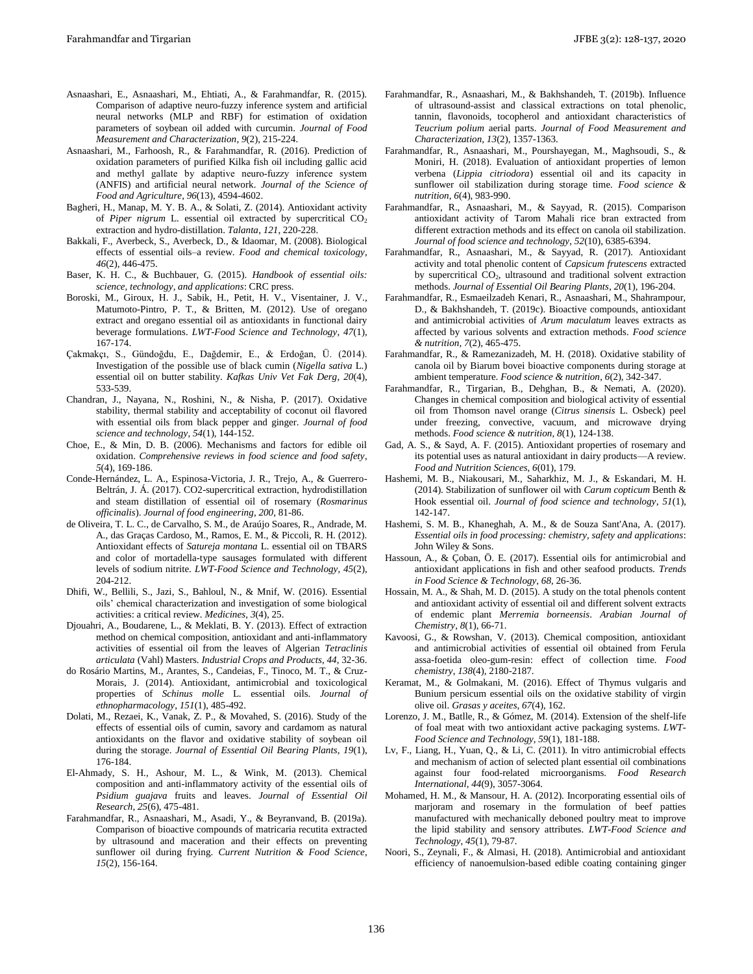- Asnaashari, E., Asnaashari, M., Ehtiati, A., & Farahmandfar, R. (2015). Comparison of adaptive neuro-fuzzy inference system and artificial neural networks (MLP and RBF) for estimation of oxidation parameters of soybean oil added with curcumin. *Journal of Food Measurement and Characterization*, *9*(2), 215-224.
- Asnaashari, M., Farhoosh, R., & Farahmandfar, R. (2016). Prediction of oxidation parameters of purified Kilka fish oil including gallic acid and methyl gallate by adaptive neuro‐fuzzy inference system (ANFIS) and artificial neural network. *Journal of the Science of Food and Agriculture*, *96*(13), 4594-4602.
- Bagheri, H., Manap, M. Y. B. A., & Solati, Z. (2014). Antioxidant activity of *Piper nigrum* L. essential oil extracted by supercritical CO<sub>2</sub> extraction and hydro-distillation. *Talanta*, *121*, 220-228.
- Bakkali, F., Averbeck, S., Averbeck, D., & Idaomar, M. (2008). Biological effects of essential oils–a review. *Food and chemical toxicology*, *46*(2), 446-475.
- Baser, K. H. C., & Buchbauer, G. (2015). *Handbook of essential oils: science, technology, and applications*: CRC press.
- Boroski, M., Giroux, H. J., Sabik, H., Petit, H. V., Visentainer, J. V., Matumoto-Pintro, P. T., & Britten, M. (2012). Use of oregano extract and oregano essential oil as antioxidants in functional dairy beverage formulations. *LWT-Food Science and Technology*, *47*(1), 167-174.
- Çakmakçı, S., Gündoğdu, E., Dağdemir, E., & Erdoğan, Ü. (2014). Investigation of the possible use of black cumin (*Nigella sativa* L.) essential oil on butter stability. *Kafkas Univ Vet Fak Derg*, *20*(4), 533-539.
- Chandran, J., Nayana, N., Roshini, N., & Nisha, P. (2017). Oxidative stability, thermal stability and acceptability of coconut oil flavored with essential oils from black pepper and ginger. *Journal of food science and technology*, *54*(1), 144-152.
- Choe, E., & Min, D. B. (2006). Mechanisms and factors for edible oil oxidation. *Comprehensive reviews in food science and food safety*, *5*(4), 169-186.
- Conde-Hernández, L. A., Espinosa-Victoria, J. R., Trejo, A., & Guerrero-Beltrán, J. Á. (2017). CO2-supercritical extraction, hydrodistillation and steam distillation of essential oil of rosemary (*Rosmarinus officinalis*). *Journal of food engineering*, *200*, 81-86.
- de Oliveira, T. L. C., de Carvalho, S. M., de Araújo Soares, R., Andrade, M. A., das Graças Cardoso, M., Ramos, E. M., & Piccoli, R. H. (2012). Antioxidant effects of *Satureja montana* L. essential oil on TBARS and color of mortadella-type sausages formulated with different levels of sodium nitrite. *LWT-Food Science and Technology*, *45*(2), 204-212.
- Dhifi, W., Bellili, S., Jazi, S., Bahloul, N., & Mnif, W. (2016). Essential oils' chemical characterization and investigation of some biological activities: a critical review. *Medicines*, *3*(4), 25.
- Djouahri, A., Boudarene, L., & Meklati, B. Y. (2013). Effect of extraction method on chemical composition, antioxidant and anti-inflammatory activities of essential oil from the leaves of Algerian *Tetraclinis articulata* (Vahl) Masters. *Industrial Crops and Products*, *44*, 32-36.
- do Rosário Martins, M., Arantes, S., Candeias, F., Tinoco, M. T., & Cruz-Morais, J. (2014). Antioxidant, antimicrobial and toxicological properties of *Schinus molle* L. essential oils. *Journal of ethnopharmacology*, *151*(1), 485-492.
- Dolati, M., Rezaei, K., Vanak, Z. P., & Movahed, S. (2016). Study of the effects of essential oils of cumin, savory and cardamom as natural antioxidants on the flavor and oxidative stability of soybean oil during the storage. *Journal of Essential Oil Bearing Plants*, *19*(1), 176-184.
- El-Ahmady, S. H., Ashour, M. L., & Wink, M. (2013). Chemical composition and anti-inflammatory activity of the essential oils of *Psidium guajava* fruits and leaves. *Journal of Essential Oil Research*, *25*(6), 475-481.
- Farahmandfar, R., Asnaashari, M., Asadi, Y., & Beyranvand, B. (2019a). Comparison of bioactive compounds of matricaria recutita extracted by ultrasound and maceration and their effects on preventing sunflower oil during frying. *Current Nutrition & Food Science*, *15*(2), 156-164.
- Farahmandfar, R., Asnaashari, M., & Bakhshandeh, T. (2019b). Influence of ultrasound-assist and classical extractions on total phenolic, tannin, flavonoids, tocopherol and antioxidant characteristics of *Teucrium polium* aerial parts. *Journal of Food Measurement and Characterization*, *13*(2), 1357-1363.
- Farahmandfar, R., Asnaashari, M., Pourshayegan, M., Maghsoudi, S., & Moniri, H. (2018). Evaluation of antioxidant properties of lemon verbena (*Lippia citriodora*) essential oil and its capacity in sunflower oil stabilization during storage time. *Food science & nutrition*, *6*(4), 983-990.
- Farahmandfar, R., Asnaashari, M., & Sayyad, R. (2015). Comparison antioxidant activity of Tarom Mahali rice bran extracted from different extraction methods and its effect on canola oil stabilization. *Journal of food science and technology*, *52*(10), 6385-6394.
- Farahmandfar, R., Asnaashari, M., & Sayyad, R. (2017). Antioxidant activity and total phenolic content of *Capsicum frutescens* extracted by supercritical CO2, ultrasound and traditional solvent extraction methods. *Journal of Essential Oil Bearing Plants*, *20*(1), 196-204.
- Farahmandfar, R., Esmaeilzadeh Kenari, R., Asnaashari, M., Shahrampour, D., & Bakhshandeh, T. (2019c). Bioactive compounds, antioxidant and antimicrobial activities of *Arum maculatum* leaves extracts as affected by various solvents and extraction methods. *Food science & nutrition*, *7*(2), 465-475.
- Farahmandfar, R., & Ramezanizadeh, M. H. (2018). Oxidative stability of canola oil by Biarum bovei bioactive components during storage at ambient temperature. *Food science & nutrition*, *6*(2), 342-347.
- Farahmandfar, R., Tirgarian, B., Dehghan, B., & Nemati, A. (2020). Changes in chemical composition and biological activity of essential oil from Thomson navel orange (*Citrus sinensis* L. Osbeck) peel under freezing, convective, vacuum, and microwave drying methods. *Food science & nutrition*, *8*(1), 124-138.
- Gad, A. S., & Sayd, A. F. (2015). Antioxidant properties of rosemary and its potential uses as natural antioxidant in dairy products—A review. *Food and Nutrition Sciences*, *6*(01), 179.
- Hashemi, M. B., Niakousari, M., Saharkhiz, M. J., & Eskandari, M. H. (2014). Stabilization of sunflower oil with *Carum copticum* Benth & Hook essential oil. *Journal of food science and technology*, *51*(1), 142-147.
- Hashemi, S. M. B., Khaneghah, A. M., & de Souza Sant'Ana, A. (2017). *Essential oils in food processing: chemistry, safety and applications*: John Wiley & Sons.
- Hassoun, A., & Çoban, Ö. E. (2017). Essential oils for antimicrobial and antioxidant applications in fish and other seafood products. *Trends in Food Science & Technology*, *68*, 26-36.
- Hossain, M. A., & Shah, M. D. (2015). A study on the total phenols content and antioxidant activity of essential oil and different solvent extracts of endemic plant *Merremia borneensis*. *Arabian Journal of Chemistry*, *8*(1), 66-71.
- Kavoosi, G., & Rowshan, V. (2013). Chemical composition, antioxidant and antimicrobial activities of essential oil obtained from Ferula assa-foetida oleo-gum-resin: effect of collection time. *Food chemistry*, *138*(4), 2180-2187.
- Keramat, M., & Golmakani, M. (2016). Effect of Thymus vulgaris and Bunium persicum essential oils on the oxidative stability of virgin olive oil. *Grasas y aceites*, *67*(4), 162.
- Lorenzo, J. M., Batlle, R., & Gómez, M. (2014). Extension of the shelf-life of foal meat with two antioxidant active packaging systems. *LWT-Food Science and Technology*, *59*(1), 181-188.
- Lv, F., Liang, H., Yuan, Q., & Li, C. (2011). In vitro antimicrobial effects and mechanism of action of selected plant essential oil combinations against four food-related microorganisms. *Food Research International*, *44*(9), 3057-3064.
- Mohamed, H. M., & Mansour, H. A. (2012). Incorporating essential oils of marjoram and rosemary in the formulation of beef patties manufactured with mechanically deboned poultry meat to improve the lipid stability and sensory attributes. *LWT-Food Science and Technology*, *45*(1), 79-87.
- Noori, S., Zeynali, F., & Almasi, H. (2018). Antimicrobial and antioxidant efficiency of nanoemulsion-based edible coating containing ginger